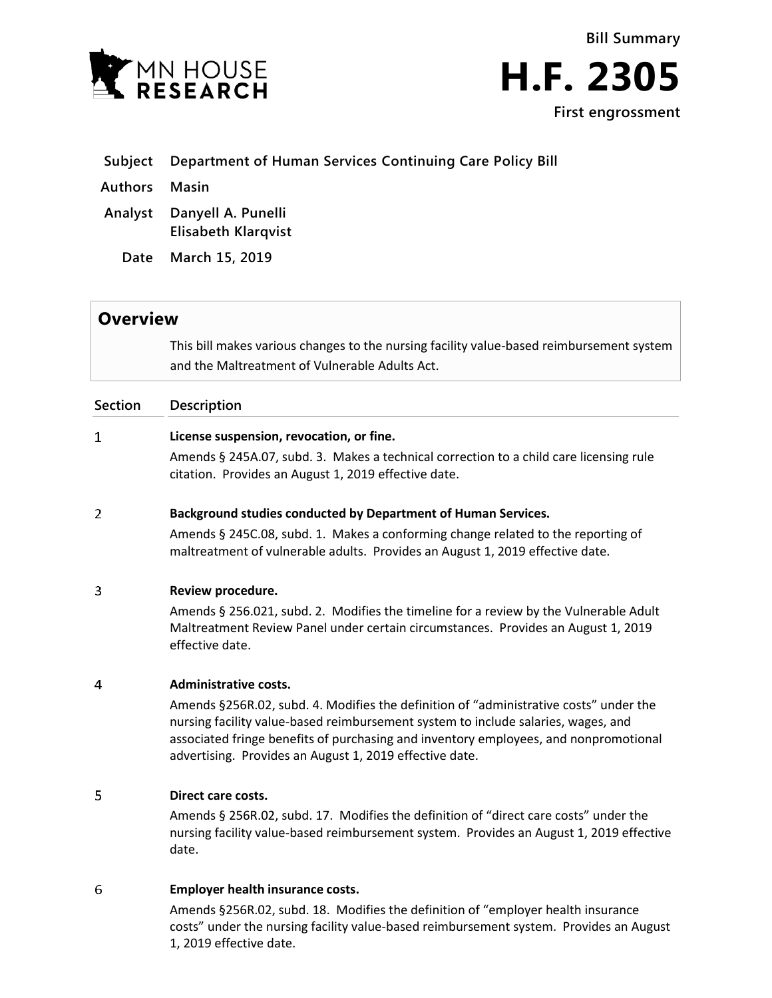



# **Subject Department of Human Services Continuing Care Policy Bill**

**Authors Masin**

**Analyst Danyell A. Punelli Elisabeth Klarqvist**

**Date March 15, 2019**

# **Overview**

This bill makes various changes to the nursing facility value-based reimbursement system and the Maltreatment of Vulnerable Adults Act.

# **Section Description**

### $\mathbf{1}$ **License suspension, revocation, or fine.**

Amends § 245A.07, subd. 3. Makes a technical correction to a child care licensing rule citation. Provides an August 1, 2019 effective date.

#### $\overline{2}$ **Background studies conducted by Department of Human Services.**

Amends § 245C.08, subd. 1. Makes a conforming change related to the reporting of maltreatment of vulnerable adults. Provides an August 1, 2019 effective date.

#### 3 **Review procedure.**

Amends § 256.021, subd. 2. Modifies the timeline for a review by the Vulnerable Adult Maltreatment Review Panel under certain circumstances. Provides an August 1, 2019 effective date.

#### $\overline{4}$ **Administrative costs.**

Amends §256R.02, subd. 4. Modifies the definition of "administrative costs" under the nursing facility value-based reimbursement system to include salaries, wages, and associated fringe benefits of purchasing and inventory employees, and nonpromotional advertising. Provides an August 1, 2019 effective date.

#### 5 **Direct care costs.**

Amends § 256R.02, subd. 17. Modifies the definition of "direct care costs" under the nursing facility value-based reimbursement system. Provides an August 1, 2019 effective date.

# 6 **Employer health insurance costs.**

Amends §256R.02, subd. 18. Modifies the definition of "employer health insurance costs" under the nursing facility value-based reimbursement system. Provides an August 1, 2019 effective date.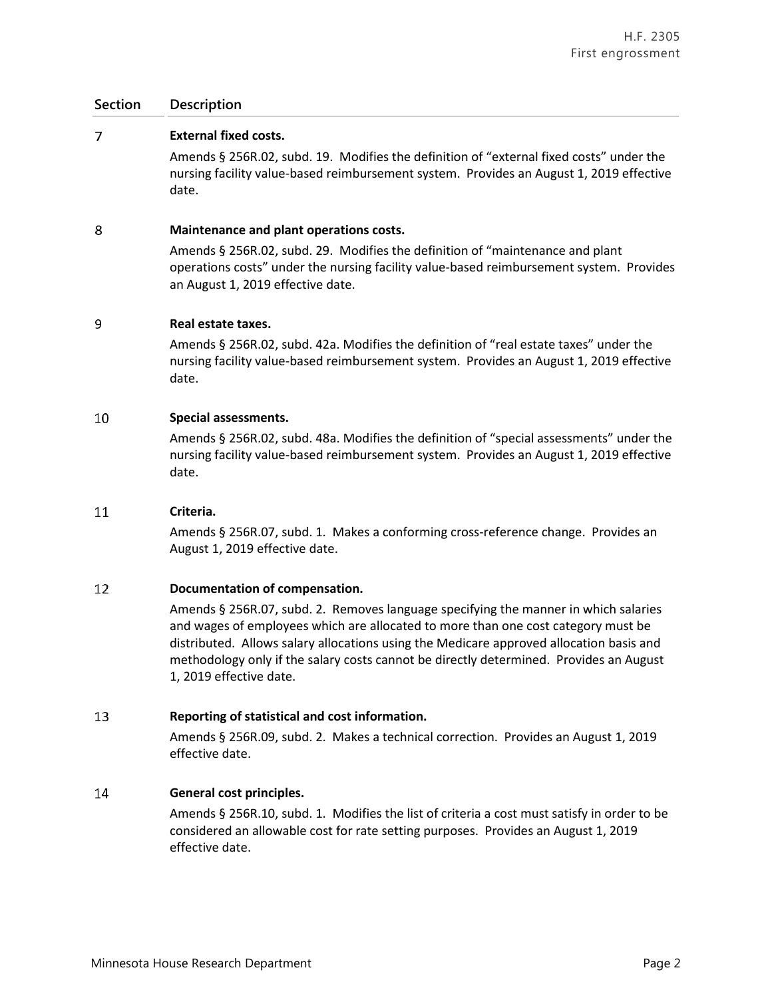# $\overline{7}$ **External fixed costs.**

Amends § 256R.02, subd. 19. Modifies the definition of "external fixed costs" under the nursing facility value-based reimbursement system. Provides an August 1, 2019 effective date.

#### 8 **Maintenance and plant operations costs.**

Amends § 256R.02, subd. 29. Modifies the definition of "maintenance and plant operations costs" under the nursing facility value-based reimbursement system. Provides an August 1, 2019 effective date.

#### 9 **Real estate taxes.**

Amends § 256R.02, subd. 42a. Modifies the definition of "real estate taxes" under the nursing facility value-based reimbursement system. Provides an August 1, 2019 effective date.

### 10 **Special assessments.**

Amends § 256R.02, subd. 48a. Modifies the definition of "special assessments" under the nursing facility value-based reimbursement system. Provides an August 1, 2019 effective date.

# 11 **Criteria.**

Amends § 256R.07, subd. 1. Makes a conforming cross-reference change. Provides an August 1, 2019 effective date.

# 12 **Documentation of compensation.**

Amends § 256R.07, subd. 2. Removes language specifying the manner in which salaries and wages of employees which are allocated to more than one cost category must be distributed. Allows salary allocations using the Medicare approved allocation basis and methodology only if the salary costs cannot be directly determined. Provides an August 1, 2019 effective date.

# 13 **Reporting of statistical and cost information.**

Amends § 256R.09, subd. 2. Makes a technical correction. Provides an August 1, 2019 effective date.

#### 14 **General cost principles.**

Amends § 256R.10, subd. 1. Modifies the list of criteria a cost must satisfy in order to be considered an allowable cost for rate setting purposes. Provides an August 1, 2019 effective date.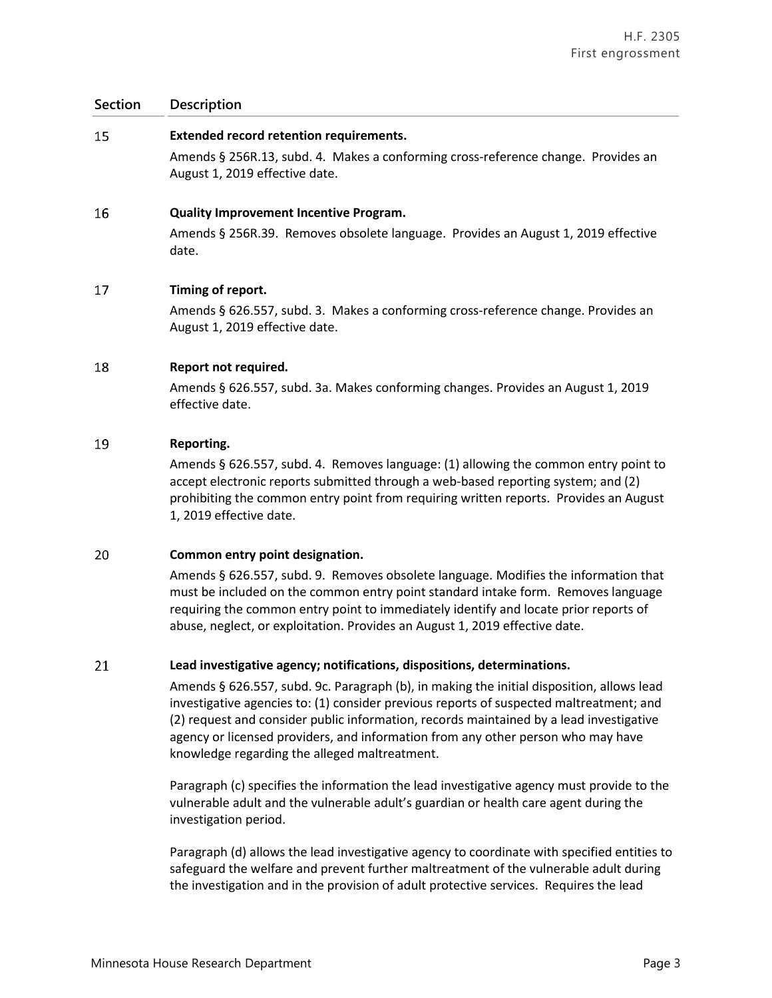#### 15 **Extended record retention requirements.**

Amends § 256R.13, subd. 4. Makes a conforming cross-reference change. Provides an August 1, 2019 effective date.

#### **16 Quality Improvement Incentive Program.**

Amends § 256R.39. Removes obsolete language. Provides an August 1, 2019 effective date.

#### 17 **Timing of report.**

Amends § 626.557, subd. 3. Makes a conforming cross-reference change. Provides an August 1, 2019 effective date.

#### 18 **Report not required.**

Amends § 626.557, subd. 3a. Makes conforming changes. Provides an August 1, 2019 effective date.

### 19 **Reporting.**

Amends § 626.557, subd. 4. Removes language: (1) allowing the common entry point to accept electronic reports submitted through a web-based reporting system; and (2) prohibiting the common entry point from requiring written reports. Provides an August 1, 2019 effective date.

# 20 **Common entry point designation.**

Amends § 626.557, subd. 9. Removes obsolete language. Modifies the information that must be included on the common entry point standard intake form. Removes language requiring the common entry point to immediately identify and locate prior reports of abuse, neglect, or exploitation. Provides an August 1, 2019 effective date.

#### 21 **Lead investigative agency; notifications, dispositions, determinations.**

Amends § 626.557, subd. 9c. Paragraph (b), in making the initial disposition, allows lead investigative agencies to: (1) consider previous reports of suspected maltreatment; and (2) request and consider public information, records maintained by a lead investigative agency or licensed providers, and information from any other person who may have knowledge regarding the alleged maltreatment.

Paragraph (c) specifies the information the lead investigative agency must provide to the vulnerable adult and the vulnerable adult's guardian or health care agent during the investigation period.

Paragraph (d) allows the lead investigative agency to coordinate with specified entities to safeguard the welfare and prevent further maltreatment of the vulnerable adult during the investigation and in the provision of adult protective services. Requires the lead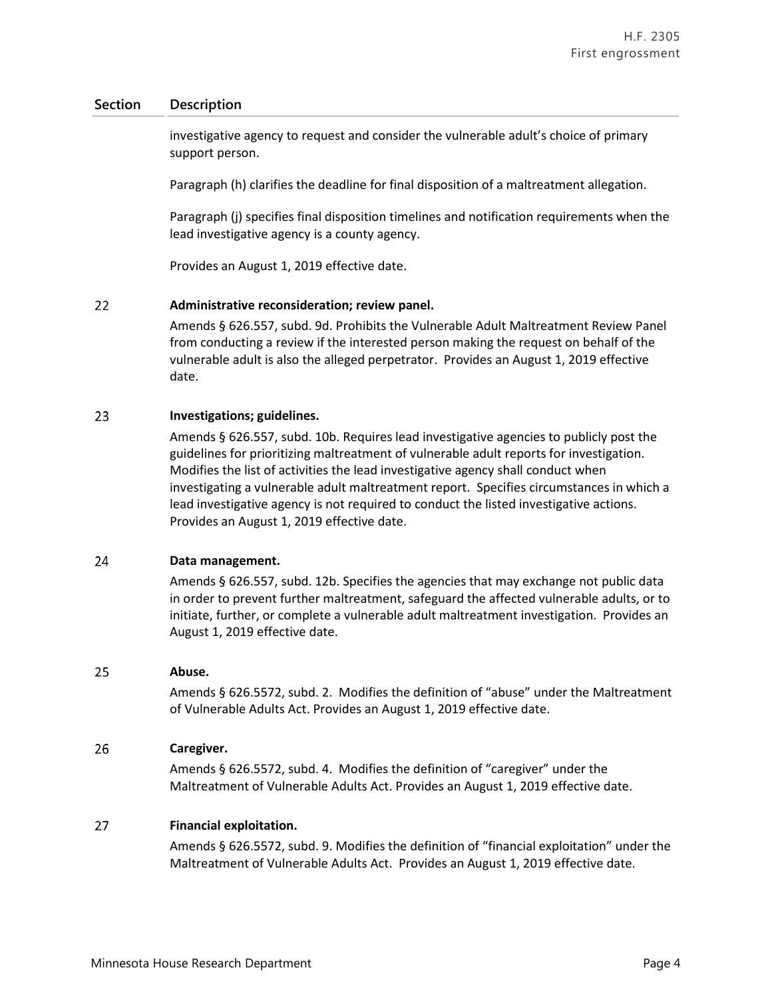investigative agency to request and consider the vulnerable adult's choice of primary support person.

Paragraph (h) clarifies the deadline for final disposition of a maltreatment allegation.

Paragraph (j) specifies final disposition timelines and notification requirements when the lead investigative agency is a county agency.

Provides an August 1, 2019 effective date.

# 22 **Administrative reconsideration; review panel.**

Amends § 626.557, subd. 9d. Prohibits the Vulnerable Adult Maltreatment Review Panel from conducting a review if the interested person making the request on behalf of the vulnerable adult is also the alleged perpetrator. Provides an August 1, 2019 effective date.

#### 23 **Investigations; guidelines.**

Amends § 626.557, subd. 10b. Requires lead investigative agencies to publicly post the guidelines for prioritizing maltreatment of vulnerable adult reports for investigation. Modifies the list of activities the lead investigative agency shall conduct when investigating a vulnerable adult maltreatment report. Specifies circumstances in which a lead investigative agency is not required to conduct the listed investigative actions. Provides an August 1, 2019 effective date.

#### 24 **Data management.**

Amends § 626.557, subd. 12b. Specifies the agencies that may exchange not public data in order to prevent further maltreatment, safeguard the affected vulnerable adults, or to initiate, further, or complete a vulnerable adult maltreatment investigation. Provides an August 1, 2019 effective date.

#### 25 **Abuse.**

Amends § 626.5572, subd. 2. Modifies the definition of "abuse" under the Maltreatment of Vulnerable Adults Act. Provides an August 1, 2019 effective date.

# 26 **Caregiver.**

Amends § 626.5572, subd. 4. Modifies the definition of "caregiver" under the Maltreatment of Vulnerable Adults Act. Provides an August 1, 2019 effective date.

# 27 **Financial exploitation.**

Amends § 626.5572, subd. 9. Modifies the definition of "financial exploitation" under the Maltreatment of Vulnerable Adults Act. Provides an August 1, 2019 effective date.